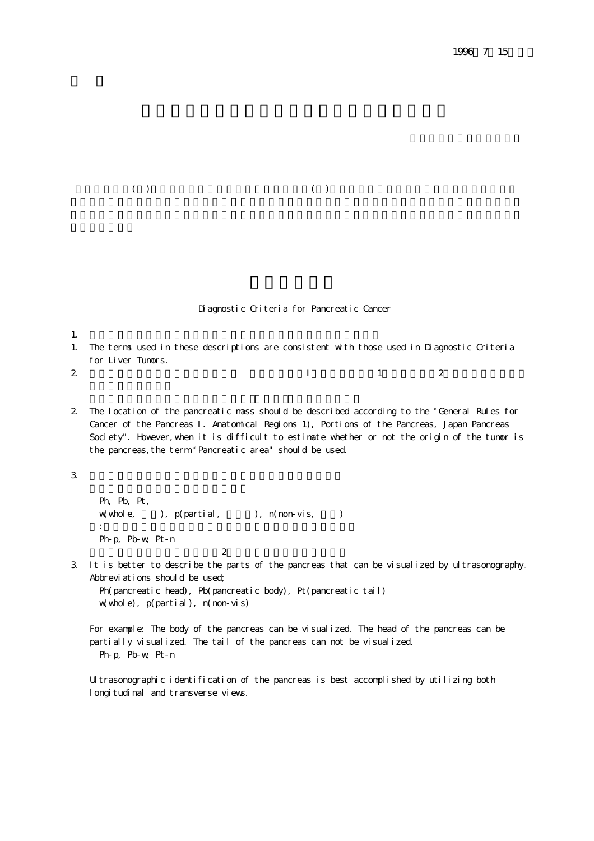$(3)$  and  $(4)$ 

Diagnostic Criteria for Pancreatic Cancer

 $1.$ 1. The terms used in these descriptions are consistent with those used in Diagnostic Criteria for Liver Tumors.

2. extending the state  $1$  state  $2$ 

2. The location of the pancreatic mass should be described according to the "General Rules for Cancer of the Pancreas . Anatomical Regions 1), Portions of the Pancreas, Japan Pancreas Society". However, when it is difficult to estimate whether or not the origin of the tumor is the pancreas, the term 'Pancreatic area" should be used.

 $3.$ 

```
Ph, Pb, Pt,
 w(whole, 全体), p(partial, 部分的), n(non-vis, 不明)
の様子、顔は一部分が描かれたが、黒部は一部分が描かれたが、尾部は
 Ph-p, Pb-w, Pt-n
\overline{c}
```
3. It is better to describe the parts of the pancreas that can be visualized by ultrasonography. Abbreviations should be used;

Ph(pancreatic head), Pb(pancreatic body), Pt(pancreatic tail) w(whole), p(partial), n(non-vis)

For example: The body of the pancreas can be visualized. The head of the pancreas can be partially visualized. The tail of the pancreas can not be visualized. Ph-p, Pb-w, Pt-n

Ultrasonographic identification of the pancreas is best accomplished by utilizing both longitudinal and transverse views.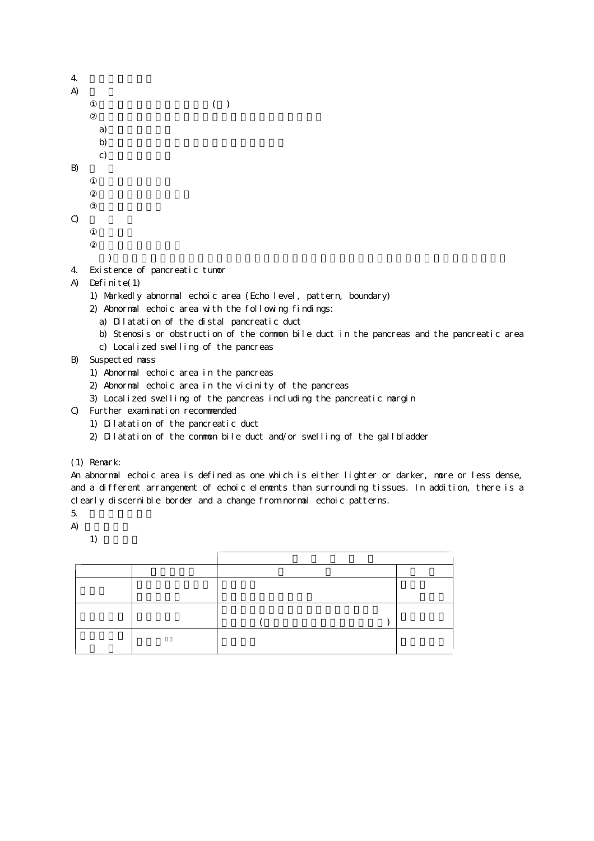| 4  |                |     |  |
|----|----------------|-----|--|
| A) |                |     |  |
|    |                | ( ) |  |
|    |                |     |  |
|    |                |     |  |
|    | a)<br>b)<br>c) |     |  |
|    |                |     |  |
|    |                |     |  |

 $B$ 

| $\mathbf Q$ |  |  |  |
|-------------|--|--|--|
|             |  |  |  |

- 
- 4. Existence of pancreatic tumor

### A) Definite(1)

- 1) Markedly abnormal echoic area (Echo level, pattern, boundary)
- 2) Abnormal echoic area with the following findings:
	- a) Dilatation of the distal pancreatic duct
	- b) Stenosis or obstruction of the common bile duct in the pancreas and the pancreatic area

) and the term of the term of  $\alpha$ 

- c) Localized swelling of the pancreas
- B) Suspected mass
	- 1) Abnormal echoic area in the pancreas
	- 2) Abnormal echoic area in the vicinity of the pancreas
	- 3) Localized swelling of the pancreas including the pancreatic margin
- C) Further examination recommended
	- 1) Dilatation of the pancreatic duct
	- 2) Dilatation of the common bile duct and/or swelling of the gallbladder
- (1) Remark:

An abnormal echoic area is defined as one which is either lighter or darker, more or less dense, and a different arrangement of echoic elements than surrounding tissues. In addition, there is a clearly discernible border and a change from normal echoic patterns.

- $5.$
- $A)$

1)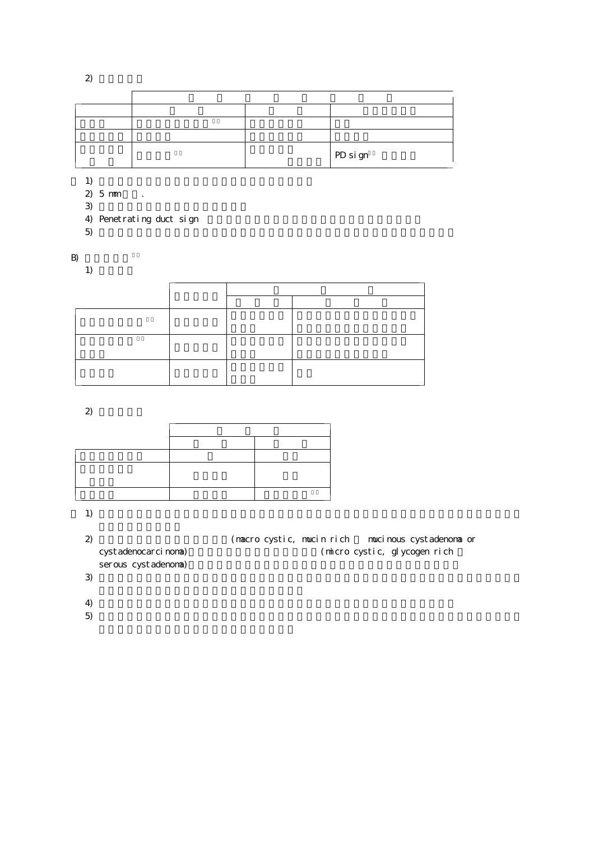$\ddot{c}$ 

|  | PD sign |
|--|---------|

 $1)$ 

- $2) 5 mm$ .
- $3)$
- 4) Penetrating duct sign
- $5)$

 $B<sub>0</sub>$ 

 $1)$ 

 $2)$ 

 $1)$ 

| $\mathbf{2}$ |                     |  | (macro cystic, mucin rich mucinous cystadenoma or |
|--------------|---------------------|--|---------------------------------------------------|
|              | cystadenocarcinona) |  | (micro cystic, glycogen rich                      |
|              | serous cystadenoma) |  |                                                   |
|              |                     |  |                                                   |

- $4)$
- $5)$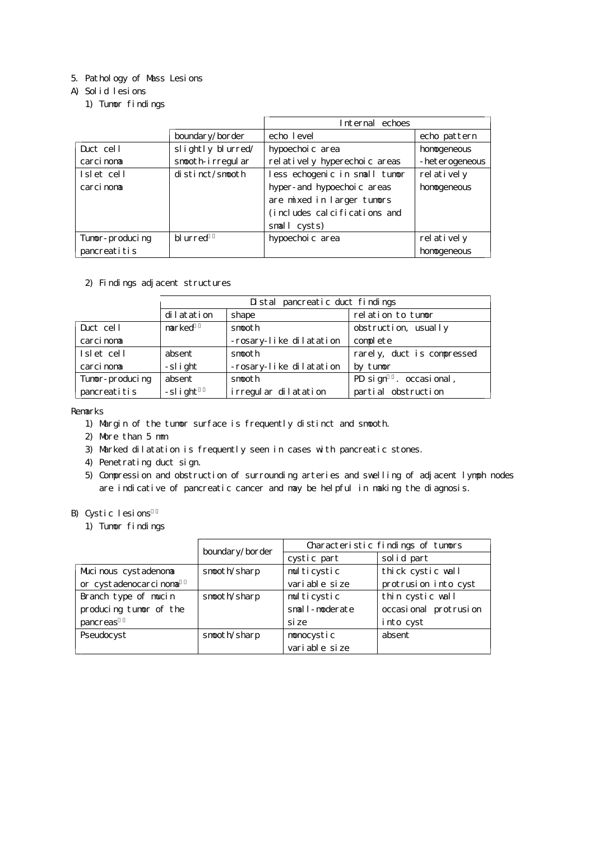# 5. Pathology of Mass Lesions

# A) Solid lesions

1) Tumor findings

|                 |                    | Internal echoes               |                  |
|-----------------|--------------------|-------------------------------|------------------|
|                 | boundary/border    | echo level                    | echo pattern     |
| Duct cell       | slightly blurred/  | hypoechoi c area              | honogeneous      |
| carci nona      | snooth-irregular   | rel atively hyperechoic areas | - het erogeneous |
| Islet cell      | $distinct/s$ nooth | less echogenic in small tumor | rel at i vel y   |
| carci noma      |                    | hyper- and hypoechoic areas   | honogeneous      |
|                 |                    | are mixed in larger tumors    |                  |
|                 |                    | (includes calcifications and  |                  |
|                 |                    | small cysts)                  |                  |
| Tunor-producing | bl urred           | hypoechoi c area              | relatively       |
| pancreatitis    |                    |                               | honogeneous      |

### 2) Findings adjacent structures

|                 | Distal pancreatic duct findings |                         |                            |
|-----------------|---------------------------------|-------------------------|----------------------------|
|                 | dilatation                      | shape                   | relation to tumor          |
| Duct cell       | narked                          | snooth                  | obstruction, usually       |
| carci nona      |                                 | -rosary-like dilatation | complete                   |
| Islet cell      | absent                          | snooth                  | rarely, duct is compressed |
| carci nona      | -slight                         | -rosary-like dilatation | by tunor                   |
| Tunor-producing | absent                          | snooth                  | PD sign . occasional,      |
| pancreatitis    | -slight                         | irregular dilatation    | partial obstruction        |

Remarks

- 1) Margin of the tumor surface is frequently distinct and smooth.
- 2) More than 5 mm
- 3) Marked dilatation is frequently seen in cases with pancreatic stones.
- 4) Penetrating duct sign.
- 5) Compression and obstruction of surrounding arteries and swelling of adjacent lymph nodes are indicative of pancreatic cancer and may be helpful in making the diagnosis.

### B) Cystic lesions

1) Tumor findings

|                        |                 | Characteristic findings of tumors |                       |
|------------------------|-----------------|-----------------------------------|-----------------------|
|                        | boundary/border | cystic part                       | solid part            |
| Muci nous cystadenona  | snooth/sharp    | multicystic                       | thick cystic wall     |
| or cystadenocarcinona  |                 | vari able si ze                   | protrusion into cyst  |
| Branch type of mucin   | snooth/sharp    | multicystic                       | thin cystic wall      |
| producing tunor of the |                 | snall-noderate                    | occasional protrusion |
| pancreas               |                 | si ze                             | into cyst             |
| Pseudocyst             | snooth/sharp    | nonocystic                        | absent                |
|                        |                 | vari able si ze                   |                       |